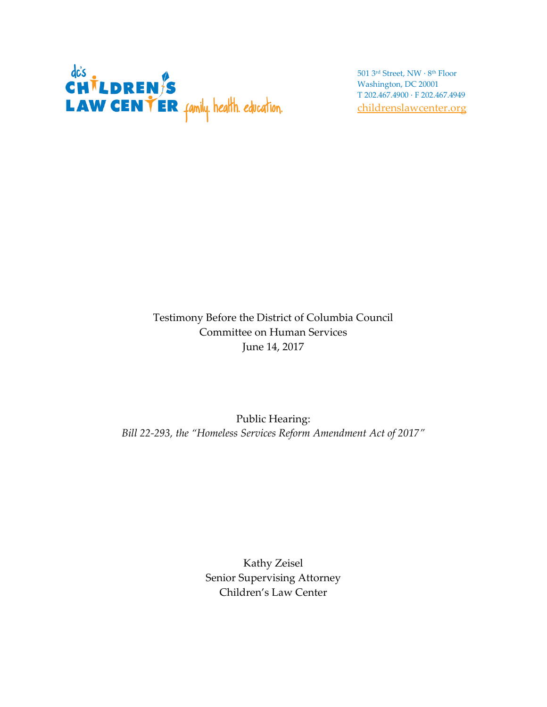

501 3rd Street, NW · 8 th Floor Washington, DC 20001 T 202.467.4900 · F 202.467.4949 [childrenslawcenter.org](http://www.childrenslawcenter.org/)

## Testimony Before the District of Columbia Council Committee on Human Services June 14, 2017

## Public Hearing: *Bill 22-293, the "Homeless Services Reform Amendment Act of 2017"*

Kathy Zeisel Senior Supervising Attorney Children's Law Center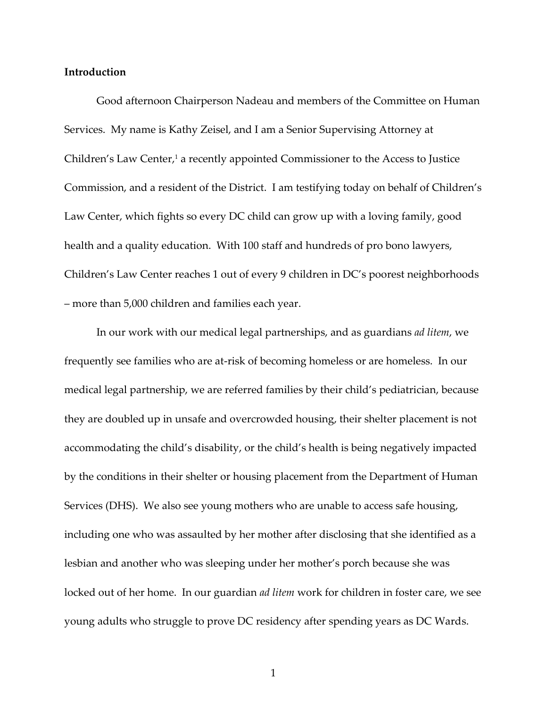### **Introduction**

Good afternoon Chairperson Nadeau and members of the Committee on Human Services. My name is Kathy Zeisel, and I am a Senior Supervising Attorney at Children's Law Center, <sup>1</sup> a recently appointed Commissioner to the Access to Justice Commission, and a resident of the District. I am testifying today on behalf of Children's Law Center, which fights so every DC child can grow up with a loving family, good health and a quality education. With 100 staff and hundreds of pro bono lawyers, Children's Law Center reaches 1 out of every 9 children in DC's poorest neighborhoods – more than 5,000 children and families each year.

In our work with our medical legal partnerships, and as guardians *ad litem*, we frequently see families who are at-risk of becoming homeless or are homeless. In our medical legal partnership, we are referred families by their child's pediatrician, because they are doubled up in unsafe and overcrowded housing, their shelter placement is not accommodating the child's disability, or the child's health is being negatively impacted by the conditions in their shelter or housing placement from the Department of Human Services (DHS). We also see young mothers who are unable to access safe housing, including one who was assaulted by her mother after disclosing that she identified as a lesbian and another who was sleeping under her mother's porch because she was locked out of her home. In our guardian *ad litem* work for children in foster care, we see young adults who struggle to prove DC residency after spending years as DC Wards.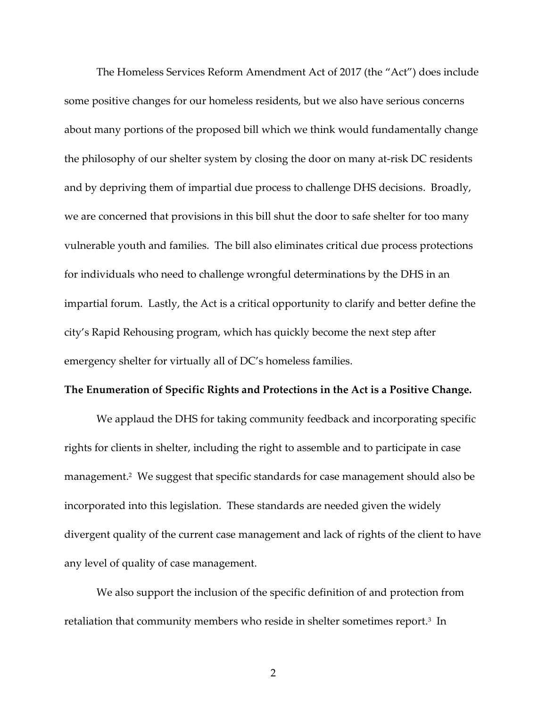The Homeless Services Reform Amendment Act of 2017 (the "Act") does include some positive changes for our homeless residents, but we also have serious concerns about many portions of the proposed bill which we think would fundamentally change the philosophy of our shelter system by closing the door on many at-risk DC residents and by depriving them of impartial due process to challenge DHS decisions. Broadly, we are concerned that provisions in this bill shut the door to safe shelter for too many vulnerable youth and families. The bill also eliminates critical due process protections for individuals who need to challenge wrongful determinations by the DHS in an impartial forum. Lastly, the Act is a critical opportunity to clarify and better define the city's Rapid Rehousing program, which has quickly become the next step after emergency shelter for virtually all of DC's homeless families.

#### **The Enumeration of Specific Rights and Protections in the Act is a Positive Change.**

We applaud the DHS for taking community feedback and incorporating specific rights for clients in shelter, including the right to assemble and to participate in case management. 2 We suggest that specific standards for case management should also be incorporated into this legislation. These standards are needed given the widely divergent quality of the current case management and lack of rights of the client to have any level of quality of case management.

We also support the inclusion of the specific definition of and protection from retaliation that community members who reside in shelter sometimes report.<sup>3</sup> In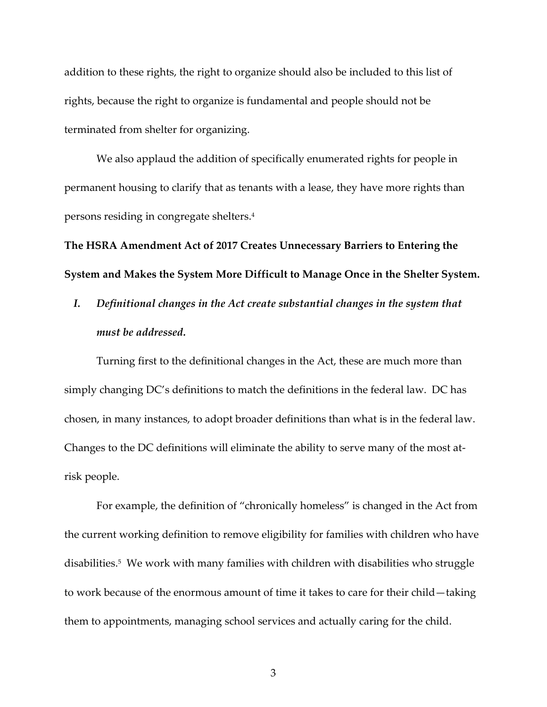addition to these rights, the right to organize should also be included to this list of rights, because the right to organize is fundamental and people should not be terminated from shelter for organizing.

We also applaud the addition of specifically enumerated rights for people in permanent housing to clarify that as tenants with a lease, they have more rights than persons residing in congregate shelters.<sup>4</sup>

**The HSRA Amendment Act of 2017 Creates Unnecessary Barriers to Entering the System and Makes the System More Difficult to Manage Once in the Shelter System.** 

*I. Definitional changes in the Act create substantial changes in the system that must be addressed.*

Turning first to the definitional changes in the Act, these are much more than simply changing DC's definitions to match the definitions in the federal law. DC has chosen, in many instances, to adopt broader definitions than what is in the federal law. Changes to the DC definitions will eliminate the ability to serve many of the most atrisk people.

For example, the definition of "chronically homeless" is changed in the Act from the current working definition to remove eligibility for families with children who have disabilities.<sup>5</sup> We work with many families with children with disabilities who struggle to work because of the enormous amount of time it takes to care for their child—taking them to appointments, managing school services and actually caring for the child.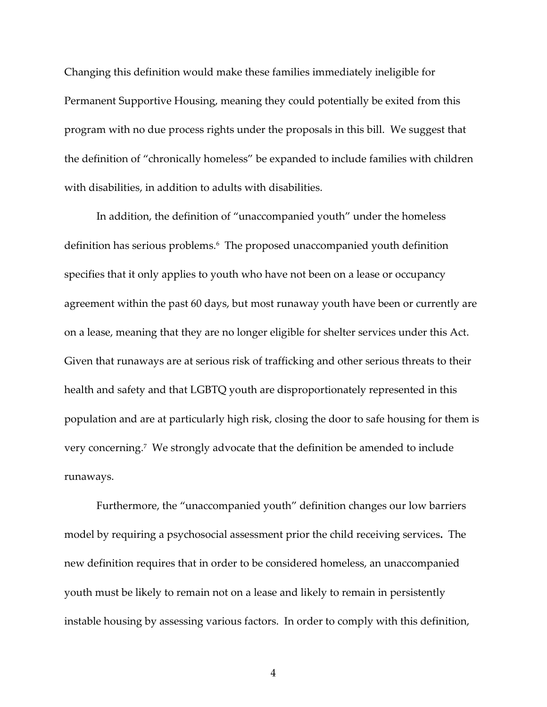Changing this definition would make these families immediately ineligible for Permanent Supportive Housing, meaning they could potentially be exited from this program with no due process rights under the proposals in this bill. We suggest that the definition of "chronically homeless" be expanded to include families with children with disabilities, in addition to adults with disabilities.

In addition, the definition of "unaccompanied youth" under the homeless definition has serious problems.<sup>6</sup> The proposed unaccompanied youth definition specifies that it only applies to youth who have not been on a lease or occupancy agreement within the past 60 days, but most runaway youth have been or currently are on a lease, meaning that they are no longer eligible for shelter services under this Act. Given that runaways are at serious risk of trafficking and other serious threats to their health and safety and that LGBTQ youth are disproportionately represented in this population and are at particularly high risk, closing the door to safe housing for them is very concerning.<sup>7</sup> We strongly advocate that the definition be amended to include runaways.

Furthermore, the "unaccompanied youth" definition changes our low barriers model by requiring a psychosocial assessment prior the child receiving services**.** The new definition requires that in order to be considered homeless, an unaccompanied youth must be likely to remain not on a lease and likely to remain in persistently instable housing by assessing various factors. In order to comply with this definition,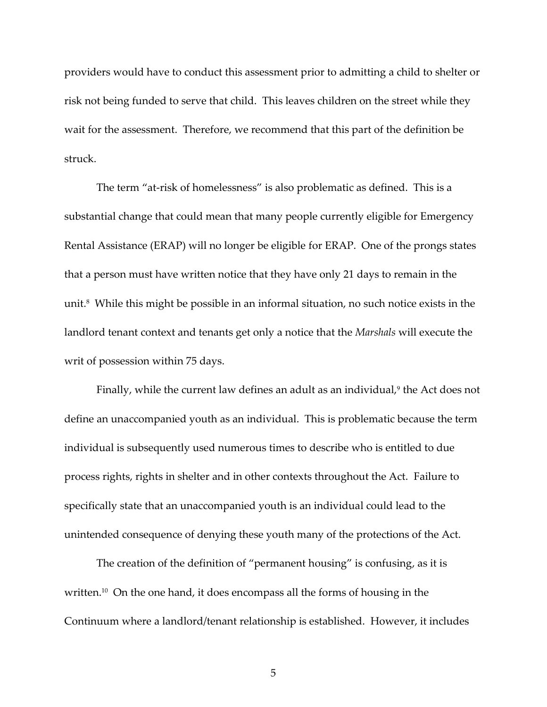providers would have to conduct this assessment prior to admitting a child to shelter or risk not being funded to serve that child. This leaves children on the street while they wait for the assessment. Therefore, we recommend that this part of the definition be struck.

The term "at-risk of homelessness" is also problematic as defined. This is a substantial change that could mean that many people currently eligible for Emergency Rental Assistance (ERAP) will no longer be eligible for ERAP. One of the prongs states that a person must have written notice that they have only 21 days to remain in the unit.<sup>8</sup> While this might be possible in an informal situation, no such notice exists in the landlord tenant context and tenants get only a notice that the *Marshals* will execute the writ of possession within 75 days.

Finally, while the current law defines an adult as an individual,<sup>9</sup> the Act does not define an unaccompanied youth as an individual. This is problematic because the term individual is subsequently used numerous times to describe who is entitled to due process rights, rights in shelter and in other contexts throughout the Act. Failure to specifically state that an unaccompanied youth is an individual could lead to the unintended consequence of denying these youth many of the protections of the Act.

The creation of the definition of "permanent housing" is confusing, as it is written.<sup>10</sup> On the one hand, it does encompass all the forms of housing in the Continuum where a landlord/tenant relationship is established. However, it includes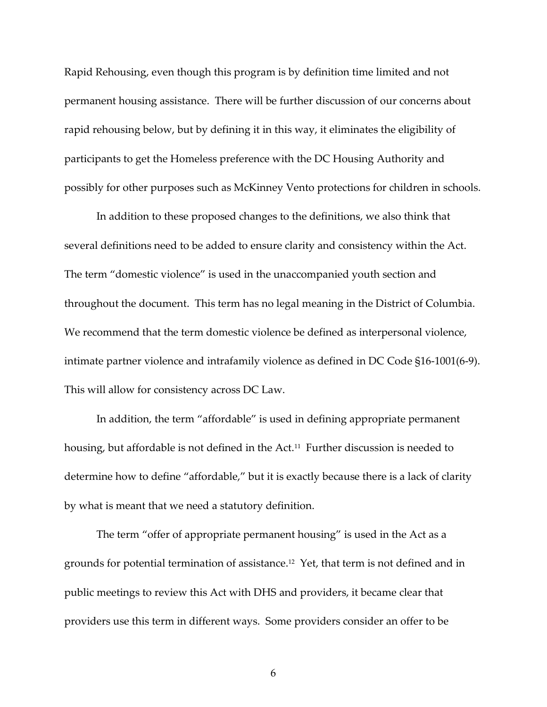Rapid Rehousing, even though this program is by definition time limited and not permanent housing assistance. There will be further discussion of our concerns about rapid rehousing below, but by defining it in this way, it eliminates the eligibility of participants to get the Homeless preference with the DC Housing Authority and possibly for other purposes such as McKinney Vento protections for children in schools.

In addition to these proposed changes to the definitions, we also think that several definitions need to be added to ensure clarity and consistency within the Act. The term "domestic violence" is used in the unaccompanied youth section and throughout the document. This term has no legal meaning in the District of Columbia. We recommend that the term domestic violence be defined as interpersonal violence, intimate partner violence and intrafamily violence as defined in DC Code §16-1001(6-9). This will allow for consistency across DC Law.

In addition, the term "affordable" is used in defining appropriate permanent housing, but affordable is not defined in the Act.<sup>11</sup> Further discussion is needed to determine how to define "affordable," but it is exactly because there is a lack of clarity by what is meant that we need a statutory definition.

The term "offer of appropriate permanent housing" is used in the Act as a grounds for potential termination of assistance.<sup>12</sup> Yet, that term is not defined and in public meetings to review this Act with DHS and providers, it became clear that providers use this term in different ways. Some providers consider an offer to be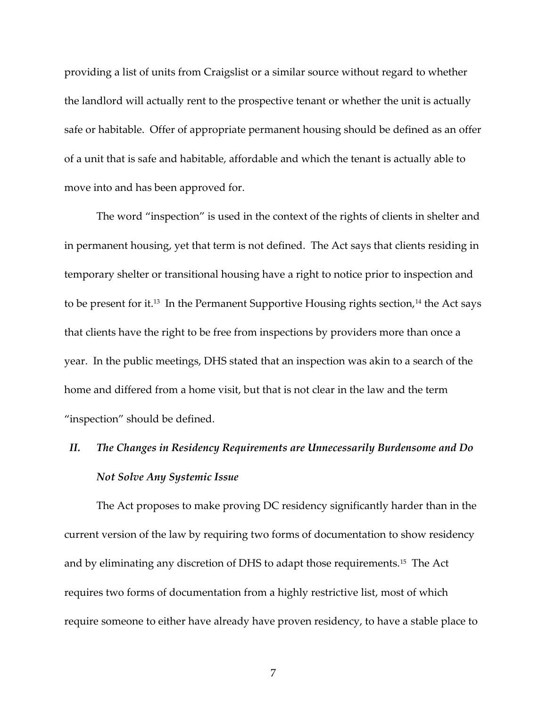providing a list of units from Craigslist or a similar source without regard to whether the landlord will actually rent to the prospective tenant or whether the unit is actually safe or habitable. Offer of appropriate permanent housing should be defined as an offer of a unit that is safe and habitable, affordable and which the tenant is actually able to move into and has been approved for.

The word "inspection" is used in the context of the rights of clients in shelter and in permanent housing, yet that term is not defined. The Act says that clients residing in temporary shelter or transitional housing have a right to notice prior to inspection and to be present for it.<sup>13</sup> In the Permanent Supportive Housing rights section,<sup>14</sup> the Act says that clients have the right to be free from inspections by providers more than once a year. In the public meetings, DHS stated that an inspection was akin to a search of the home and differed from a home visit, but that is not clear in the law and the term "inspection" should be defined.

## *II. The Changes in Residency Requirements are Unnecessarily Burdensome and Do Not Solve Any Systemic Issue*

The Act proposes to make proving DC residency significantly harder than in the current version of the law by requiring two forms of documentation to show residency and by eliminating any discretion of DHS to adapt those requirements.<sup>15</sup> The Act requires two forms of documentation from a highly restrictive list, most of which require someone to either have already have proven residency, to have a stable place to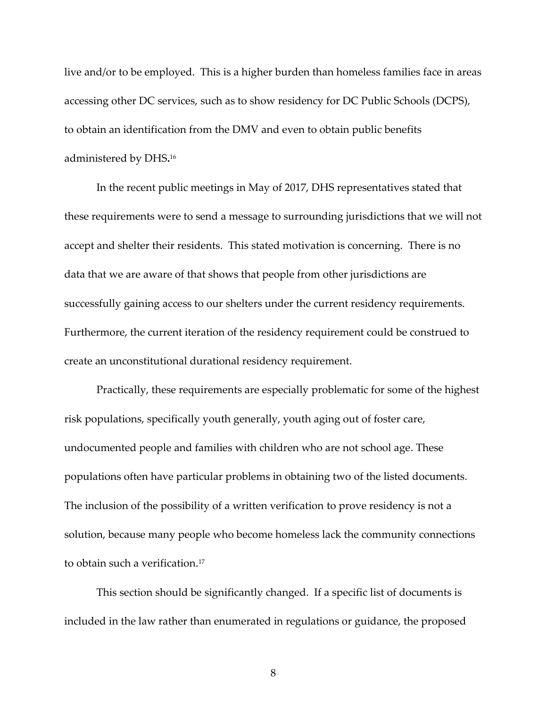live and/or to be employed. This is a higher burden than homeless families face in areas accessing other DC services, such as to show residency for DC Public Schools (DCPS), to obtain an identification from the DMV and even to obtain public benefits administered by DHS**.** 16

In the recent public meetings in May of 2017, DHS representatives stated that these requirements were to send a message to surrounding jurisdictions that we will not accept and shelter their residents. This stated motivation is concerning. There is no data that we are aware of that shows that people from other jurisdictions are successfully gaining access to our shelters under the current residency requirements. Furthermore, the current iteration of the residency requirement could be construed to create an unconstitutional durational residency requirement.

Practically, these requirements are especially problematic for some of the highest risk populations, specifically youth generally, youth aging out of foster care, undocumented people and families with children who are not school age. These populations often have particular problems in obtaining two of the listed documents. The inclusion of the possibility of a written verification to prove residency is not a solution, because many people who become homeless lack the community connections to obtain such a verification.<sup>17</sup>

This section should be significantly changed. If a specific list of documents is included in the law rather than enumerated in regulations or guidance, the proposed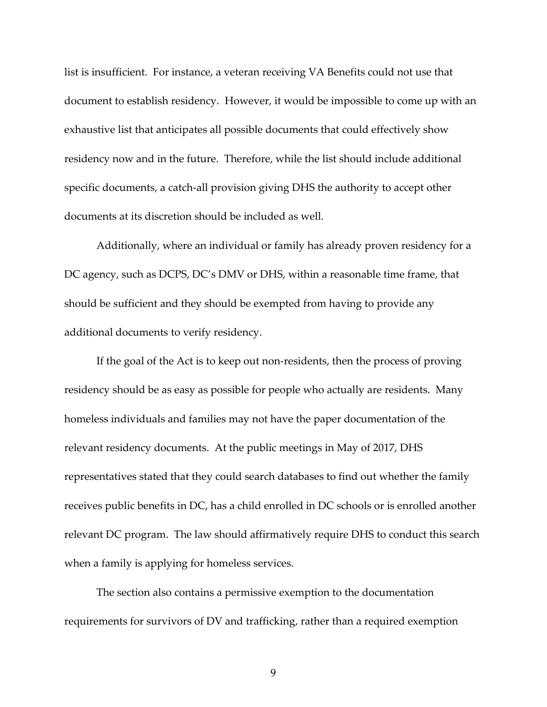list is insufficient. For instance, a veteran receiving VA Benefits could not use that document to establish residency. However, it would be impossible to come up with an exhaustive list that anticipates all possible documents that could effectively show residency now and in the future. Therefore, while the list should include additional specific documents, a catch-all provision giving DHS the authority to accept other documents at its discretion should be included as well.

Additionally, where an individual or family has already proven residency for a DC agency, such as DCPS, DC's DMV or DHS, within a reasonable time frame, that should be sufficient and they should be exempted from having to provide any additional documents to verify residency.

If the goal of the Act is to keep out non-residents, then the process of proving residency should be as easy as possible for people who actually are residents. Many homeless individuals and families may not have the paper documentation of the relevant residency documents. At the public meetings in May of 2017, DHS representatives stated that they could search databases to find out whether the family receives public benefits in DC, has a child enrolled in DC schools or is enrolled another relevant DC program. The law should affirmatively require DHS to conduct this search when a family is applying for homeless services.

The section also contains a permissive exemption to the documentation requirements for survivors of DV and trafficking, rather than a required exemption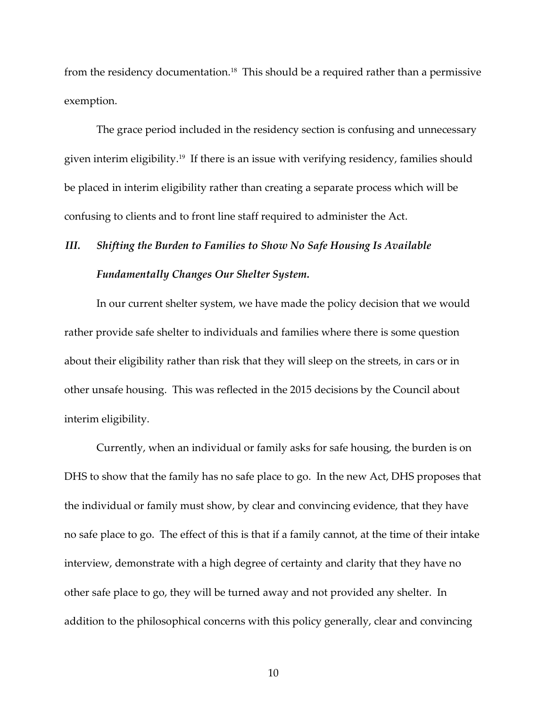from the residency documentation.<sup>18</sup> This should be a required rather than a permissive exemption.

The grace period included in the residency section is confusing and unnecessary given interim eligibility.<sup>19</sup> If there is an issue with verifying residency, families should be placed in interim eligibility rather than creating a separate process which will be confusing to clients and to front line staff required to administer the Act.

## *III. Shifting the Burden to Families to Show No Safe Housing Is Available Fundamentally Changes Our Shelter System.*

In our current shelter system, we have made the policy decision that we would rather provide safe shelter to individuals and families where there is some question about their eligibility rather than risk that they will sleep on the streets, in cars or in other unsafe housing. This was reflected in the 2015 decisions by the Council about interim eligibility.

Currently, when an individual or family asks for safe housing, the burden is on DHS to show that the family has no safe place to go. In the new Act, DHS proposes that the individual or family must show, by clear and convincing evidence, that they have no safe place to go. The effect of this is that if a family cannot, at the time of their intake interview, demonstrate with a high degree of certainty and clarity that they have no other safe place to go, they will be turned away and not provided any shelter. In addition to the philosophical concerns with this policy generally, clear and convincing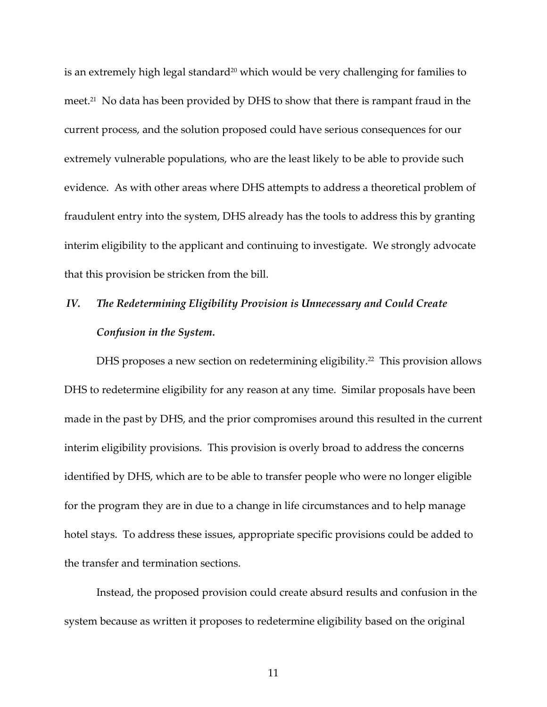is an extremely high legal standard<sup>20</sup> which would be very challenging for families to meet.<sup>21</sup> No data has been provided by DHS to show that there is rampant fraud in the current process, and the solution proposed could have serious consequences for our extremely vulnerable populations, who are the least likely to be able to provide such evidence. As with other areas where DHS attempts to address a theoretical problem of fraudulent entry into the system, DHS already has the tools to address this by granting interim eligibility to the applicant and continuing to investigate. We strongly advocate that this provision be stricken from the bill.

## *IV. The Redetermining Eligibility Provision is Unnecessary and Could Create Confusion in the System.*

DHS proposes a new section on redetermining eligibility.<sup>22</sup> This provision allows DHS to redetermine eligibility for any reason at any time. Similar proposals have been made in the past by DHS, and the prior compromises around this resulted in the current interim eligibility provisions. This provision is overly broad to address the concerns identified by DHS, which are to be able to transfer people who were no longer eligible for the program they are in due to a change in life circumstances and to help manage hotel stays. To address these issues, appropriate specific provisions could be added to the transfer and termination sections.

Instead, the proposed provision could create absurd results and confusion in the system because as written it proposes to redetermine eligibility based on the original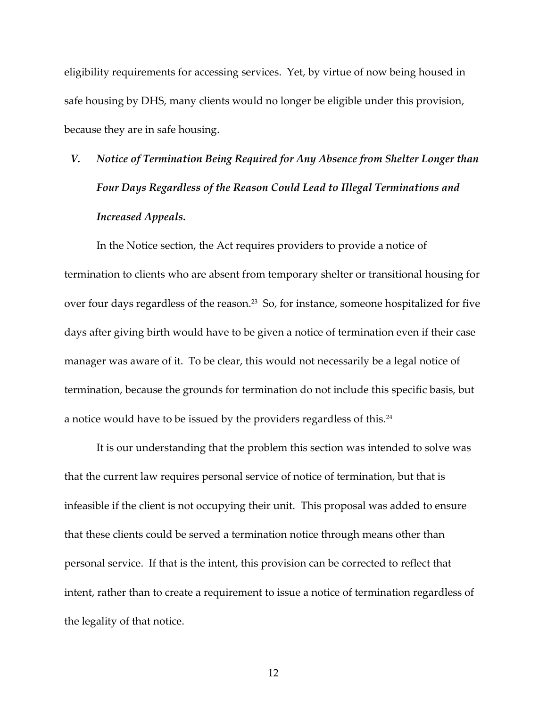eligibility requirements for accessing services. Yet, by virtue of now being housed in safe housing by DHS, many clients would no longer be eligible under this provision, because they are in safe housing.

# *V. Notice of Termination Being Required for Any Absence from Shelter Longer than Four Days Regardless of the Reason Could Lead to Illegal Terminations and Increased Appeals.*

In the Notice section, the Act requires providers to provide a notice of termination to clients who are absent from temporary shelter or transitional housing for over four days regardless of the reason. $^{23}$  So, for instance, someone hospitalized for five days after giving birth would have to be given a notice of termination even if their case manager was aware of it. To be clear, this would not necessarily be a legal notice of termination, because the grounds for termination do not include this specific basis, but a notice would have to be issued by the providers regardless of this. $^{24}$ 

It is our understanding that the problem this section was intended to solve was that the current law requires personal service of notice of termination, but that is infeasible if the client is not occupying their unit. This proposal was added to ensure that these clients could be served a termination notice through means other than personal service. If that is the intent, this provision can be corrected to reflect that intent, rather than to create a requirement to issue a notice of termination regardless of the legality of that notice.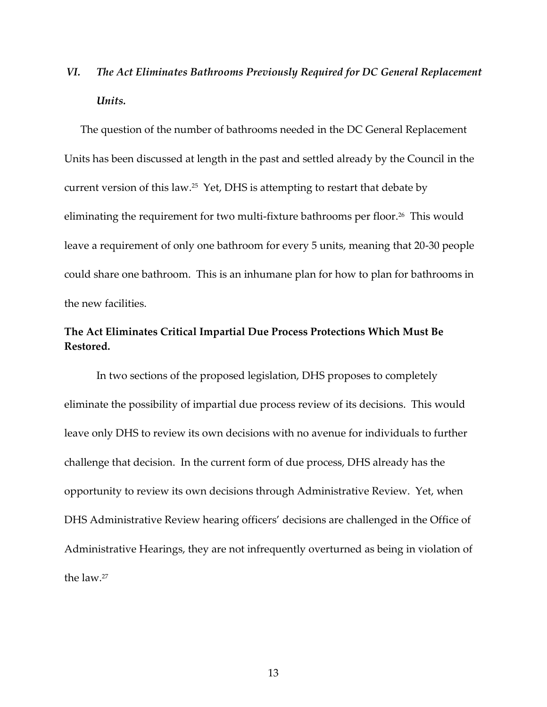## *VI. The Act Eliminates Bathrooms Previously Required for DC General Replacement Units.*

The question of the number of bathrooms needed in the DC General Replacement Units has been discussed at length in the past and settled already by the Council in the current version of this law. 25 Yet, DHS is attempting to restart that debate by eliminating the requirement for two multi-fixture bathrooms per floor.<sup>26</sup> This would leave a requirement of only one bathroom for every 5 units, meaning that 20-30 people could share one bathroom. This is an inhumane plan for how to plan for bathrooms in the new facilities.

## **The Act Eliminates Critical Impartial Due Process Protections Which Must Be Restored.**

In two sections of the proposed legislation, DHS proposes to completely eliminate the possibility of impartial due process review of its decisions. This would leave only DHS to review its own decisions with no avenue for individuals to further challenge that decision. In the current form of due process, DHS already has the opportunity to review its own decisions through Administrative Review. Yet, when DHS Administrative Review hearing officers' decisions are challenged in the Office of Administrative Hearings, they are not infrequently overturned as being in violation of the law<sup>27</sup>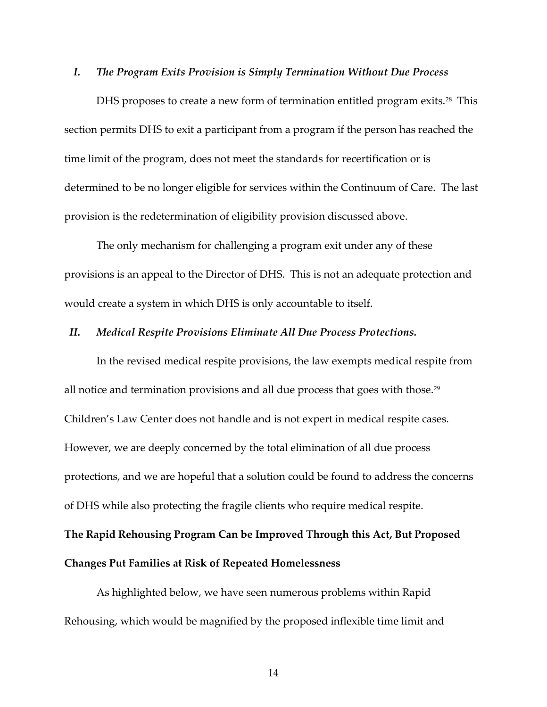#### *I. The Program Exits Provision is Simply Termination Without Due Process*

DHS proposes to create a new form of termination entitled program exits.<sup>28</sup> This section permits DHS to exit a participant from a program if the person has reached the time limit of the program, does not meet the standards for recertification or is determined to be no longer eligible for services within the Continuum of Care. The last provision is the redetermination of eligibility provision discussed above.

The only mechanism for challenging a program exit under any of these provisions is an appeal to the Director of DHS. This is not an adequate protection and would create a system in which DHS is only accountable to itself.

#### *II. Medical Respite Provisions Eliminate All Due Process Protections.*

In the revised medical respite provisions, the law exempts medical respite from all notice and termination provisions and all due process that goes with those. $^{29}$ Children's Law Center does not handle and is not expert in medical respite cases. However, we are deeply concerned by the total elimination of all due process protections, and we are hopeful that a solution could be found to address the concerns of DHS while also protecting the fragile clients who require medical respite.

**The Rapid Rehousing Program Can be Improved Through this Act, But Proposed** 

### **Changes Put Families at Risk of Repeated Homelessness**

As highlighted below, we have seen numerous problems within Rapid Rehousing, which would be magnified by the proposed inflexible time limit and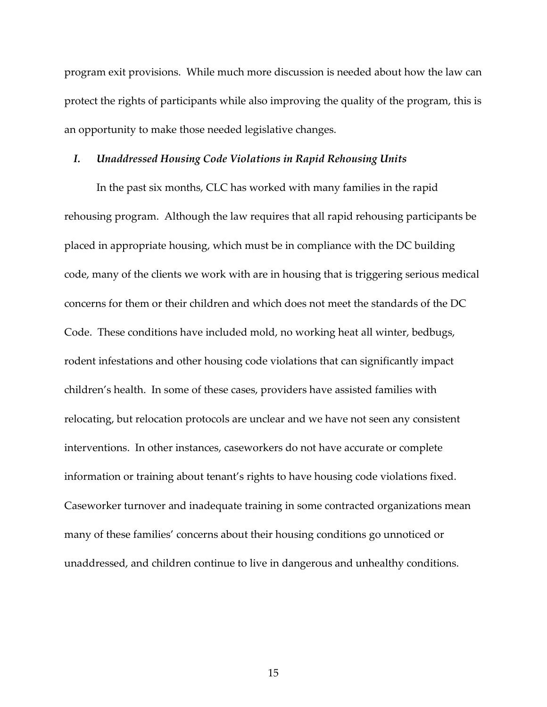program exit provisions. While much more discussion is needed about how the law can protect the rights of participants while also improving the quality of the program, this is an opportunity to make those needed legislative changes.

### *I. Unaddressed Housing Code Violations in Rapid Rehousing Units*

In the past six months, CLC has worked with many families in the rapid rehousing program. Although the law requires that all rapid rehousing participants be placed in appropriate housing, which must be in compliance with the DC building code, many of the clients we work with are in housing that is triggering serious medical concerns for them or their children and which does not meet the standards of the DC Code. These conditions have included mold, no working heat all winter, bedbugs, rodent infestations and other housing code violations that can significantly impact children's health. In some of these cases, providers have assisted families with relocating, but relocation protocols are unclear and we have not seen any consistent interventions. In other instances, caseworkers do not have accurate or complete information or training about tenant's rights to have housing code violations fixed. Caseworker turnover and inadequate training in some contracted organizations mean many of these families' concerns about their housing conditions go unnoticed or unaddressed, and children continue to live in dangerous and unhealthy conditions.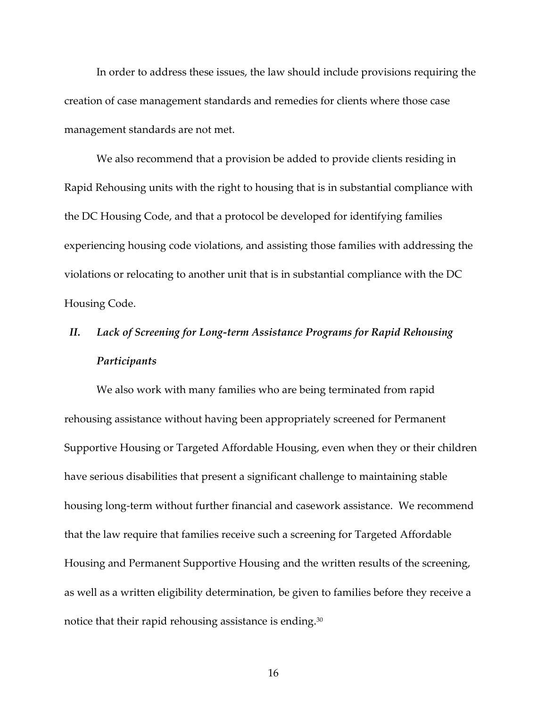In order to address these issues, the law should include provisions requiring the creation of case management standards and remedies for clients where those case management standards are not met.

We also recommend that a provision be added to provide clients residing in Rapid Rehousing units with the right to housing that is in substantial compliance with the DC Housing Code, and that a protocol be developed for identifying families experiencing housing code violations, and assisting those families with addressing the violations or relocating to another unit that is in substantial compliance with the DC Housing Code.

## *II. Lack of Screening for Long-term Assistance Programs for Rapid Rehousing Participants*

We also work with many families who are being terminated from rapid rehousing assistance without having been appropriately screened for Permanent Supportive Housing or Targeted Affordable Housing, even when they or their children have serious disabilities that present a significant challenge to maintaining stable housing long-term without further financial and casework assistance. We recommend that the law require that families receive such a screening for Targeted Affordable Housing and Permanent Supportive Housing and the written results of the screening, as well as a written eligibility determination, be given to families before they receive a notice that their rapid rehousing assistance is ending.<sup>30</sup>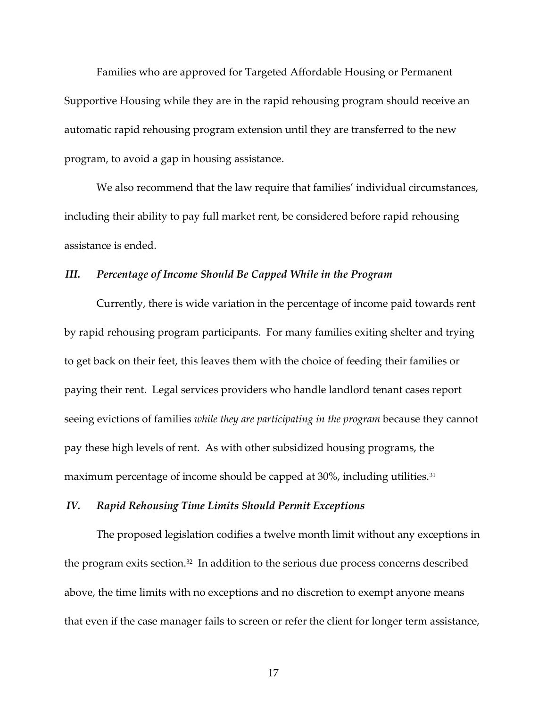Families who are approved for Targeted Affordable Housing or Permanent Supportive Housing while they are in the rapid rehousing program should receive an automatic rapid rehousing program extension until they are transferred to the new program, to avoid a gap in housing assistance.

We also recommend that the law require that families' individual circumstances, including their ability to pay full market rent, be considered before rapid rehousing assistance is ended.

### *III. Percentage of Income Should Be Capped While in the Program*

Currently, there is wide variation in the percentage of income paid towards rent by rapid rehousing program participants. For many families exiting shelter and trying to get back on their feet, this leaves them with the choice of feeding their families or paying their rent. Legal services providers who handle landlord tenant cases report seeing evictions of families *while they are participating in the program* because they cannot pay these high levels of rent. As with other subsidized housing programs, the maximum percentage of income should be capped at 30%, including utilities.<sup>31</sup>

### *IV. Rapid Rehousing Time Limits Should Permit Exceptions*

The proposed legislation codifies a twelve month limit without any exceptions in the program exits section.<sup>32</sup> In addition to the serious due process concerns described above, the time limits with no exceptions and no discretion to exempt anyone means that even if the case manager fails to screen or refer the client for longer term assistance,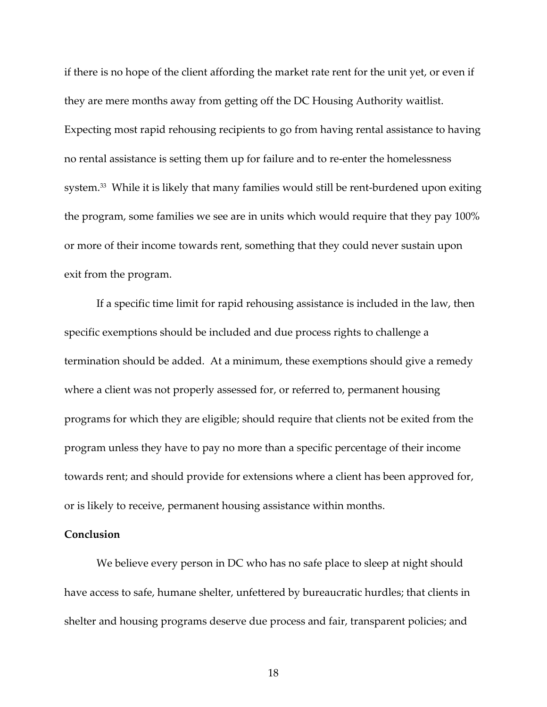if there is no hope of the client affording the market rate rent for the unit yet, or even if they are mere months away from getting off the DC Housing Authority waitlist. Expecting most rapid rehousing recipients to go from having rental assistance to having no rental assistance is setting them up for failure and to re-enter the homelessness system.<sup>33</sup> While it is likely that many families would still be rent-burdened upon exiting the program, some families we see are in units which would require that they pay 100% or more of their income towards rent, something that they could never sustain upon exit from the program.

If a specific time limit for rapid rehousing assistance is included in the law, then specific exemptions should be included and due process rights to challenge a termination should be added. At a minimum, these exemptions should give a remedy where a client was not properly assessed for, or referred to, permanent housing programs for which they are eligible; should require that clients not be exited from the program unless they have to pay no more than a specific percentage of their income towards rent; and should provide for extensions where a client has been approved for, or is likely to receive, permanent housing assistance within months.

### **Conclusion**

We believe every person in DC who has no safe place to sleep at night should have access to safe, humane shelter, unfettered by bureaucratic hurdles; that clients in shelter and housing programs deserve due process and fair, transparent policies; and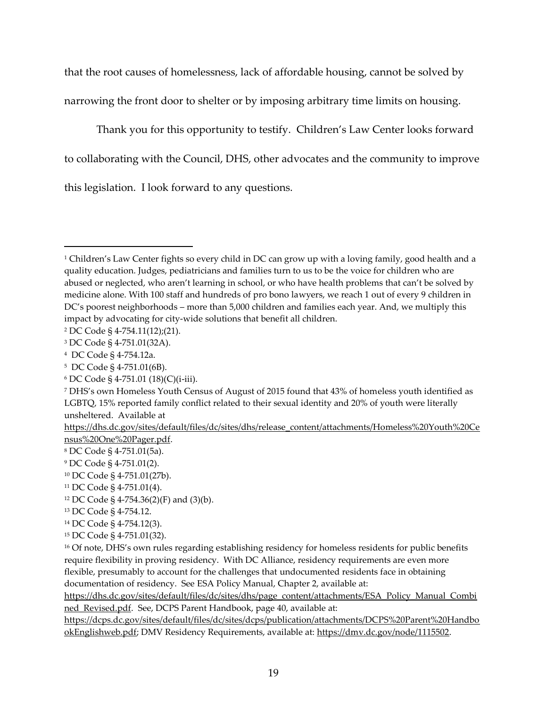that the root causes of homelessness, lack of affordable housing, cannot be solved by narrowing the front door to shelter or by imposing arbitrary time limits on housing.

Thank you for this opportunity to testify. Children's Law Center looks forward to collaborating with the Council, DHS, other advocates and the community to improve this legislation. I look forward to any questions.

 $\overline{a}$ 

<sup>12</sup> DC Code § 4-754.36(2)(F) and (3)(b).

<sup>16</sup> Of note, DHS's own rules regarding establishing residency for homeless residents for public benefits require flexibility in proving residency. With DC Alliance, residency requirements are even more flexible, presumably to account for the challenges that undocumented residents face in obtaining documentation of residency. See ESA Policy Manual, Chapter 2, available at:

[https://dhs.dc.gov/sites/default/files/dc/sites/dhs/page\\_content/attachments/ESA\\_Policy\\_Manual\\_Combi](https://dhs.dc.gov/sites/default/files/dc/sites/dhs/page_content/attachments/ESA_Policy_Manual_Combined_Revised.pdf) [ned\\_Revised.pdf.](https://dhs.dc.gov/sites/default/files/dc/sites/dhs/page_content/attachments/ESA_Policy_Manual_Combined_Revised.pdf) See, DCPS Parent Handbook, page 40, available at:

[https://dcps.dc.gov/sites/default/files/dc/sites/dcps/publication/attachments/DCPS%20Parent%20Handbo](https://dcps.dc.gov/sites/default/files/dc/sites/dcps/publication/attachments/DCPS%20Parent%20HandbookEnglishweb.pdf) [okEnglishweb.pdf;](https://dcps.dc.gov/sites/default/files/dc/sites/dcps/publication/attachments/DCPS%20Parent%20HandbookEnglishweb.pdf) DMV Residency Requirements, available at: [https://dmv.dc.gov/node/1115502.](https://dmv.dc.gov/node/1115502)

<sup>1</sup> Children's Law Center fights so every child in DC can grow up with a loving family, good health and a quality education. Judges, pediatricians and families turn to us to be the voice for children who are abused or neglected, who aren't learning in school, or who have health problems that can't be solved by medicine alone. With 100 staff and hundreds of pro bono lawyers, we reach 1 out of every 9 children in DC's poorest neighborhoods – more than 5,000 children and families each year. And, we multiply this impact by advocating for city-wide solutions that benefit all children.

<sup>2</sup> DC Code § 4-754.11(12);(21).

<sup>3</sup> DC Code § 4-751.01(32A).

<sup>4</sup> DC Code § 4-754.12a.

<sup>5</sup> DC Code § 4-751.01(6B).

<sup>6</sup> DC Code § 4-751.01 (18)(C)(i-iii).

<sup>7</sup> DHS's own Homeless Youth Census of August of 2015 found that 43% of homeless youth identified as LGBTQ, 15% reported family conflict related to their sexual identity and 20% of youth were literally unsheltered. Available at

[https://dhs.dc.gov/sites/default/files/dc/sites/dhs/release\\_content/attachments/Homeless%20Youth%20Ce](https://dhs.dc.gov/sites/default/files/dc/sites/dhs/release_content/attachments/Homeless%20Youth%20Census%20One%20Pager.pdf) [nsus%20One%20Pager.pdf.](https://dhs.dc.gov/sites/default/files/dc/sites/dhs/release_content/attachments/Homeless%20Youth%20Census%20One%20Pager.pdf)

<sup>8</sup> DC Code § 4-751.01(5a).

<sup>9</sup> DC Code § 4-751.01(2).

<sup>10</sup> DC Code § 4-751.01(27b).

<sup>11</sup> DC Code § 4-751.01(4).

<sup>13</sup> DC Code § 4-754.12.

<sup>14</sup> DC Code § 4-754.12(3).

<sup>15</sup> DC Code § 4-751.01(32).